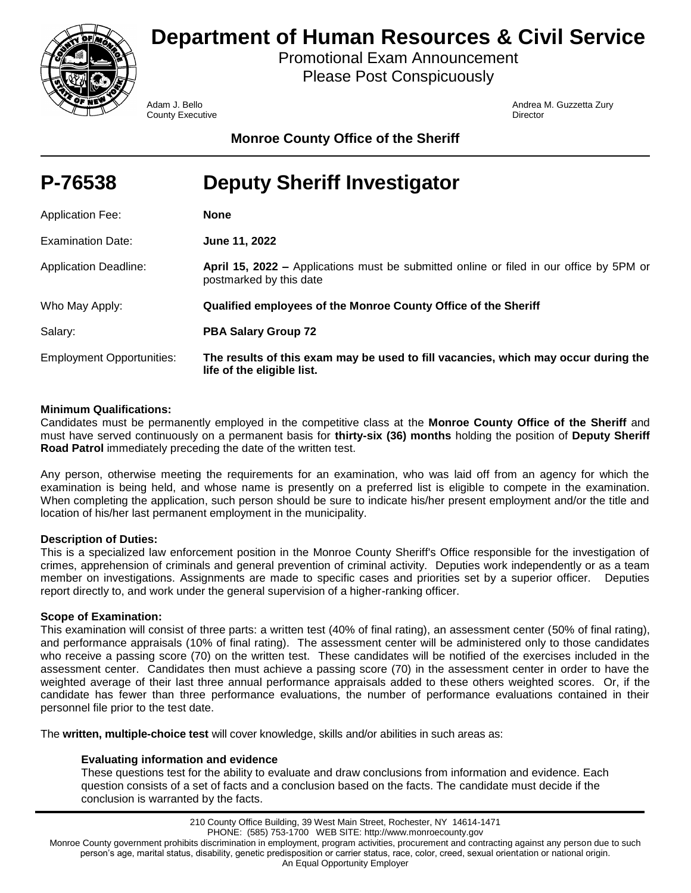

# **Department of Human Resources & Civil Service**

Promotional Exam Announcement Please Post Conspicuously

**County Executive Director** County **Director** 

Adam J. Bello Andrea M. Guzzetta Zury

**Monroe County Office of the Sheriff**

| P-76538                          | <b>Deputy Sheriff Investigator</b>                                                                                 |
|----------------------------------|--------------------------------------------------------------------------------------------------------------------|
| <b>Application Fee:</b>          | <b>None</b>                                                                                                        |
| Examination Date:                | June 11, 2022                                                                                                      |
| <b>Application Deadline:</b>     | April 15, 2022 – Applications must be submitted online or filed in our office by 5PM or<br>postmarked by this date |
| Who May Apply:                   | Qualified employees of the Monroe County Office of the Sheriff                                                     |
| Salary:                          | <b>PBA Salary Group 72</b>                                                                                         |
| <b>Employment Opportunities:</b> | The results of this exam may be used to fill vacancies, which may occur during the<br>life of the eligible list.   |

# **Minimum Qualifications:**

Candidates must be permanently employed in the competitive class at the **Monroe County Office of the Sheriff** and must have served continuously on a permanent basis for **thirty-six (36) months** holding the position of **Deputy Sheriff Road Patrol** immediately preceding the date of the written test.

Any person, otherwise meeting the requirements for an examination, who was laid off from an agency for which the examination is being held, and whose name is presently on a preferred list is eligible to compete in the examination. When completing the application, such person should be sure to indicate his/her present employment and/or the title and location of his/her last permanent employment in the municipality.

# **Description of Duties:**

This is a specialized law enforcement position in the Monroe County Sheriff's Office responsible for the investigation of crimes, apprehension of criminals and general prevention of criminal activity. Deputies work independently or as a team member on investigations. Assignments are made to specific cases and priorities set by a superior officer. Deputies report directly to, and work under the general supervision of a higher-ranking officer.

# **Scope of Examination:**

This examination will consist of three parts: a written test (40% of final rating), an assessment center (50% of final rating), and performance appraisals (10% of final rating). The assessment center will be administered only to those candidates who receive a passing score (70) on the written test. These candidates will be notified of the exercises included in the assessment center. Candidates then must achieve a passing score (70) in the assessment center in order to have the weighted average of their last three annual performance appraisals added to these others weighted scores. Or, if the candidate has fewer than three performance evaluations, the number of performance evaluations contained in their personnel file prior to the test date.

The **written, multiple-choice test** will cover knowledge, skills and/or abilities in such areas as:

# **Evaluating information and evidence**

These questions test for the ability to evaluate and draw conclusions from information and evidence. Each question consists of a set of facts and a conclusion based on the facts. The candidate must decide if the conclusion is warranted by the facts.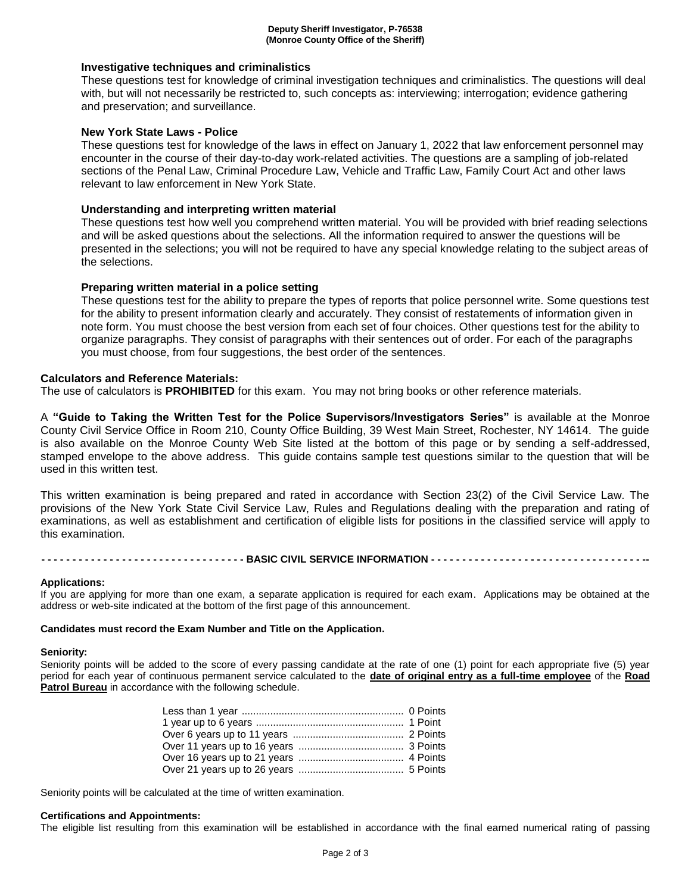## **Investigative techniques and criminalistics**

These questions test for knowledge of criminal investigation techniques and criminalistics. The questions will deal with, but will not necessarily be restricted to, such concepts as: interviewing; interrogation; evidence gathering and preservation; and surveillance.

## **New York State Laws - Police**

These questions test for knowledge of the laws in effect on January 1, 2022 that law enforcement personnel may encounter in the course of their day-to-day work-related activities. The questions are a sampling of job-related sections of the Penal Law, Criminal Procedure Law, Vehicle and Traffic Law, Family Court Act and other laws relevant to law enforcement in New York State.

## **Understanding and interpreting written material**

These questions test how well you comprehend written material. You will be provided with brief reading selections and will be asked questions about the selections. All the information required to answer the questions will be presented in the selections; you will not be required to have any special knowledge relating to the subject areas of the selections.

## **Preparing written material in a police setting**

These questions test for the ability to prepare the types of reports that police personnel write. Some questions test for the ability to present information clearly and accurately. They consist of restatements of information given in note form. You must choose the best version from each set of four choices. Other questions test for the ability to organize paragraphs. They consist of paragraphs with their sentences out of order. For each of the paragraphs you must choose, from four suggestions, the best order of the sentences.

## **Calculators and Reference Materials:**

The use of calculators is **PROHIBITED** for this exam. You may not bring books or other reference materials.

A **"Guide to Taking the Written Test for the Police Supervisors/Investigators Series"** is available at the Monroe County Civil Service Office in Room 210, County Office Building, 39 West Main Street, Rochester, NY 14614. The guide is also available on the Monroe County Web Site listed at the bottom of this page or by sending a self-addressed, stamped envelope to the above address. This guide contains sample test questions similar to the question that will be used in this written test.

This written examination is being prepared and rated in accordance with Section 23(2) of the Civil Service Law. The provisions of the New York State Civil Service Law, Rules and Regulations dealing with the preparation and rating of examinations, as well as establishment and certification of eligible lists for positions in the classified service will apply to this examination.

-------------------------------- BASIC CIVIL SERVICE INFORMATION ----------------------------------

#### **Applications:**

If you are applying for more than one exam, a separate application is required for each exam. Applications may be obtained at the address or web-site indicated at the bottom of the first page of this announcement.

#### **Candidates must record the Exam Number and Title on the Application.**

#### **Seniority:**

Seniority points will be added to the score of every passing candidate at the rate of one (1) point for each appropriate five (5) year period for each year of continuous permanent service calculated to the **date of original entry as a full-time employee** of the **Road Patrol Bureau** in accordance with the following schedule.

Seniority points will be calculated at the time of written examination.

#### **Certifications and Appointments:**

The eligible list resulting from this examination will be established in accordance with the final earned numerical rating of passing